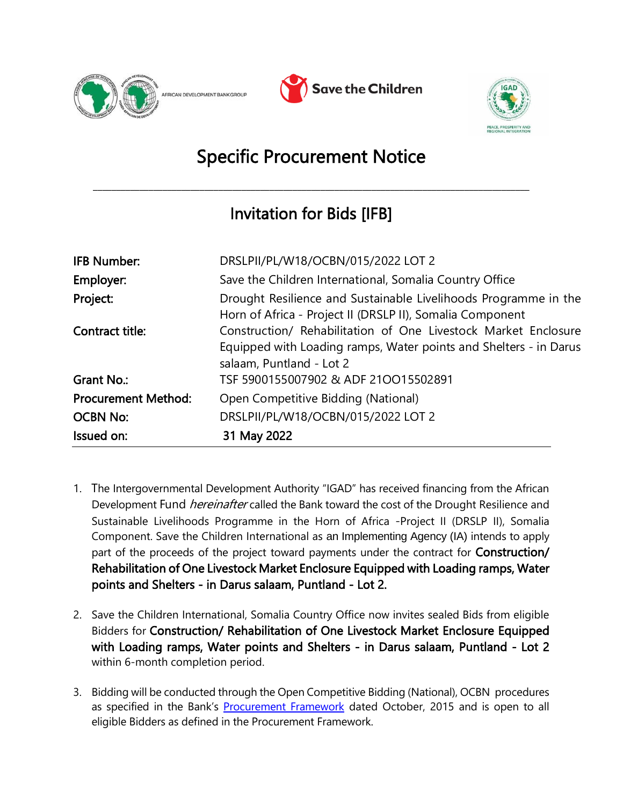





## Specific Procurement Notice

\_\_\_\_\_\_\_\_\_\_\_\_\_\_\_\_\_\_\_\_\_\_\_\_\_\_\_\_\_\_\_\_\_\_\_\_\_\_\_\_\_\_\_\_\_\_\_\_\_\_\_\_\_\_\_\_\_\_\_\_\_\_\_\_\_\_\_\_\_\_\_\_\_\_\_\_\_\_\_\_\_\_\_\_\_\_\_\_\_\_\_\_\_\_

## Invitation for Bids [IFB]

| <b>IFB Number:</b>         | DRSLPII/PL/W18/OCBN/015/2022 LOT 2                                                                                                                              |
|----------------------------|-----------------------------------------------------------------------------------------------------------------------------------------------------------------|
| Employer:                  | Save the Children International, Somalia Country Office                                                                                                         |
| Project:                   | Drought Resilience and Sustainable Livelihoods Programme in the<br>Horn of Africa - Project II (DRSLP II), Somalia Component                                    |
| Contract title:            | Construction/ Rehabilitation of One Livestock Market Enclosure<br>Equipped with Loading ramps, Water points and Shelters - in Darus<br>salaam, Puntland - Lot 2 |
| Grant No.:                 | TSF 5900155007902 & ADF 210015502891                                                                                                                            |
| <b>Procurement Method:</b> | Open Competitive Bidding (National)                                                                                                                             |
| <b>OCBN No:</b>            | DRSLPII/PL/W18/OCBN/015/2022 LOT 2                                                                                                                              |
| Issued on:                 | 31 May 2022                                                                                                                                                     |

- 1. The Intergovernmental Development Authority "IGAD" has received financing from the African Development Fund *hereinafter* called the Bank toward the cost of the Drought Resilience and Sustainable Livelihoods Programme in the Horn of Africa -Project II (DRSLP II), Somalia Component. Save the Children International as an Implementing Agency (IA) intends to apply part of the proceeds of the project toward payments under the contract for **Construction/** Rehabilitation of One Livestock Market Enclosure Equipped with Loading ramps, Water points and Shelters - in Darus salaam, Puntland - Lot 2.
- 2. Save the Children International, Somalia Country Office now invites sealed Bids from eligible Bidders for Construction/ Rehabilitation of One Livestock Market Enclosure Equipped with Loading ramps, Water points and Shelters - in Darus salaam, Puntland - Lot 2 within 6-month completion period.
- 3. Bidding will be conducted through the Open Competitive Bidding (National), OCBN procedures as specified in the Bank's [Procurement Framework](https://www.afdb.org/en/projects-and-operations/procurement/new-procurement-policy) dated October, 2015 and is open to all eligible Bidders as defined in the Procurement Framework.